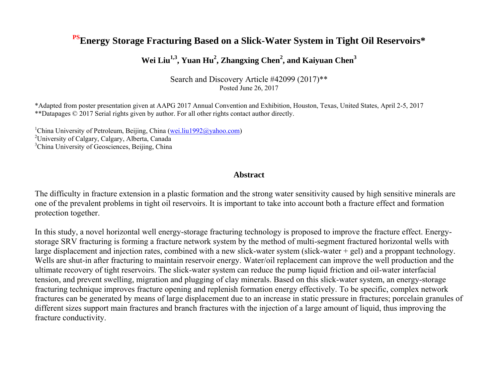# **PSEnergy Storage Fracturing Based on a Slick-Water System in Tight Oil Reservoirs\***

# **Wei Liu1,3, Yuan Hu<sup>2</sup> , Zhangxing Chen<sup>2</sup> , and Kaiyuan Chen<sup>3</sup>**

Search and Discovery Article #42099 (2017)\*\* Posted June 26, 2017

\*Adapted from poster presentation given at AAPG 2017 Annual Convention and Exhibition, Houston, Texas, United States, April 2-5, 2017 \*\*Datapages © 2017 Serial rights given by author. For all other rights contact author directly.

<sup>1</sup>China University of Petroleum, Beijing, China [\(wei.liu1992@yahoo.com\)](mailto:wei.liu1992@yahoo.com) <sup>2</sup>University of Calgary, Calgary, Alberta, Canada <sup>3</sup>China University of Geosciences, Beijing, China

## **Abstract**

The difficulty in fracture extension in a plastic formation and the strong water sensitivity caused by high sensitive minerals are one of the prevalent problems in tight oil reservoirs. It is important to take into account both a fracture effect and formation protection together.

In this study, a novel horizontal well energy-storage fracturing technology is proposed to improve the fracture effect. Energystorage SRV fracturing is forming a fracture network system by the method of multi-segment fractured horizontal wells with large displacement and injection rates, combined with a new slick-water system (slick-water + gel) and a proppant technology. Wells are shut-in after fracturing to maintain reservoir energy. Water/oil replacement can improve the well production and the ultimate recovery of tight reservoirs. The slick-water system can reduce the pump liquid friction and oil-water interfacial tension, and prevent swelling, migration and plugging of clay minerals. Based on this slick-water system, an energy-storage fracturing technique improves fracture opening and replenish formation energy effectively. To be specific, complex network fractures can be generated by means of large displacement due to an increase in static pressure in fractures; porcelain granules of different sizes support main fractures and branch fractures with the injection of a large amount of liquid, thus improving the fracture conductivity.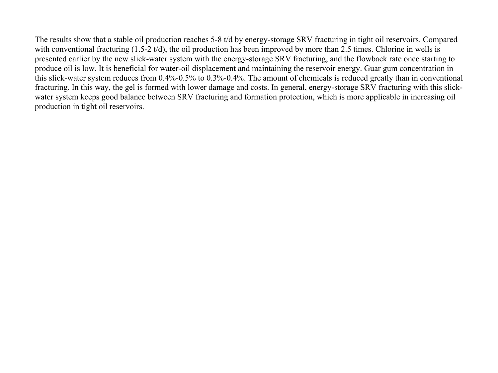The results show that a stable oil production reaches 5-8 t/d by energy-storage SRV fracturing in tight oil reservoirs. Compared with conventional fracturing (1.5-2 t/d), the oil production has been improved by more than 2.5 times. Chlorine in wells is presented earlier by the new slick-water system with the energy-storage SRV fracturing, and the flowback rate once starting to produce oil is low. It is beneficial for water-oil displacement and maintaining the reservoir energy. Guar gum concentration in this slick-water system reduces from 0.4%-0.5% to 0.3%-0.4%. The amount of chemicals is reduced greatly than in conventional fracturing. In this way, the gel is formed with lower damage and costs. In general, energy-storage SRV fracturing with this slickwater system keeps good balance between SRV fracturing and formation protection, which is more applicable in increasing oil production in tight oil reservoirs.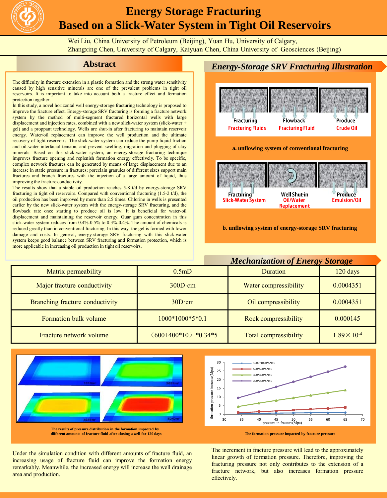

# **Energy Storage Fracturing Based on a Slick-Water System in Tight Oil Reservoirs**

Wei Liu, China University of Petroleum (Beijing), Yuan Hu, University of Calgary, Zhangxing Chen, University of Calgary, Kaiyuan Chen, China University of Geosciences (Beijing)

## **Abstract**

The difficulty in fracture extension in a plastic formation and the strong water sensitivity caused by high sensitive minerals are one of the prevalent problems in tight oil reservoirs. It is important to take into account both a fracture effect and formation protection together

In this study, a novel horizontal well energy-storage fracturing technology is proposed to improve the fracture effect. Energy-storage SRV fracturing is forming a fracture network system by the method of multi-segment fractured horizontal wells with large displacement and injection rates, combined with a new slick-water system (slick-water + gel) and a proppant technology. Wells are shut-in after fracturing to maintain reservoir energy. Water/oil replacement can improve the well production and the ultimate recovery of tight reservoirs. The slick-water system can reduce the pump liquid friction and oil-water interfacial tension, and prevent swelling, migration and plugging of clay minerals. Based on this slick-water system, an energy-storage fracturing technique improves fracture opening and replenish formation energy effectively. To be specific, complex network fractures can be generated by means of large displacement due to an increase in static pressure in fractures; porcelain granules of different sizes support main fractures and branch fractures with the injection of a large amount of liquid, thus improving the fracture conductivity.

The results show that a stable oil production reaches 5-8 t/d by energy-storage SRV fracturing in tight oil reservoirs. Compared with conventional fracturing (1.5-2 t/d), the oil production has been improved by more than 2.5 times. Chlorine in wells is presented earlier by the new slick-water system with the energy-storage SRV fracturing, and the flowback rate once starting to produce oil is low. It is beneficial for water-oil displacement and maintaining the reservoir energy. Guar gum concentration in this slick-water system reduces from 0.4%-0.5% to 0.3%-0.4%. The amount of chemicals is reduced greatly than in conventional fracturing. In this way, the gel is formed with lower damage and costs. In general, energy-storage SRV fracturing with this slick-water system keeps good balance between SRV fracturing and formation protection, which is more applicable in increasing oil production in tight oil reservoirs.



#### *Mechanization of Energy Storage*

| Matrix permeability             | 0.5 <sub>m</sub> D    | Duration                     | 120 days              |  |
|---------------------------------|-----------------------|------------------------------|-----------------------|--|
| Major fracture conductivity     | $300D \cdot cm$       | Water compressibility        | 0.0004351             |  |
| Branching fracture conductivity | $30D \cdot cm$        | Oil compressibility          | 0.0004351             |  |
| Formation bulk volume           | $1000*1000*5*0.1$     | Rock compressibility         | 0.000145              |  |
| Fracture network volume         | $(600+400*10)*0.34*5$ | <b>Total compressibility</b> | $1.89 \times 10^{-4}$ |  |



**The results of pressure distribution in the formation impacted by**



#### **The formation pressure impacted by fracture pressure**

The increment in fracture pressure will lead to the approximately linear growth of formation pressure. Therefore, improving the fracturing pressure not only contributes to the extension of a fracture network, but also increases formation pressure effectively.

Under the simulation condition with different amounts of fracture fluid, an increasing usage of fracture fluid can improve the formation energy remarkably. Meanwhile, the increased energy will increase the well drainage area and production.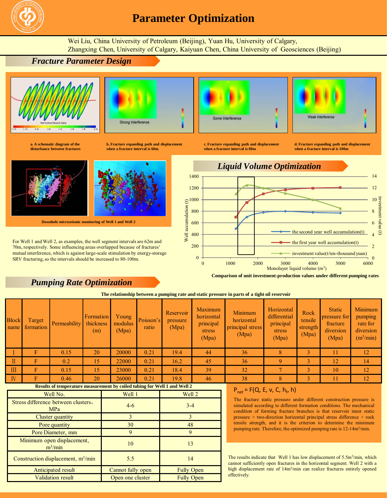

## **Parameter Optimization**

Wei Liu, China University of Petroleum (Beijing), Yuan Hu, University of Calgary, Zhangxing Chen, University of Calgary, Kaiyuan Chen, China University of Geosciences (Beijing)





Strong Interference

**a. A schematic diagram of the disturbance between fractures**

**b. Fracture expanding path and displacement when a fracture interval is 60m**



**Downhole microseismic monitoring of Well 1 and Well 2**

For Well 1 and Well 2, as examples, the well segment intervals are 62m and 70m, respectively. Some influencing areas overlapped because of fractures' mutual interference, which is against large-scale stimulation by energy-storage SRV fracturing, so the intervals should be increased to 80-100m.

## *Pumping Rate Optimization*



Weak Interferency

**c. Fracture expanding path and displacement when a fracture interval is 80m**

**d. Fracture expanding path and displacement when a fracture interval is 100m**



**Comparison of unit investment-production values under different pumping rates**

**The relationship between a pumping rate and static pressure in parts of a tight oil reservoir**

|                    | The remaining permeat a pamping rate and many property in parts of a contract of a company of the color roll. |                     |                     |                               |                                     |                    |                                |                                                       |                                                    |                                                            |                                      |                                                                        |                                                                      |
|--------------------|---------------------------------------------------------------------------------------------------------------|---------------------|---------------------|-------------------------------|-------------------------------------|--------------------|--------------------------------|-------------------------------------------------------|----------------------------------------------------|------------------------------------------------------------|--------------------------------------|------------------------------------------------------------------------|----------------------------------------------------------------------|
|                    | <b>Block</b><br>name                                                                                          | Target<br>formation | <b>Permeability</b> | Formation<br>thickness<br>(m) | Young<br>modulus<br>(Mpa)           | Poisson's<br>ratio | Reservoir<br>pressure<br>(Mpa) | Maximum<br>horizontal<br>principal<br>stress<br>(Mpa) | Minimum<br>horizontal<br>principal stress<br>(Mpa) | Horizontal<br>differential<br>principal<br>stress<br>(Mpa) | Rock<br>tensile<br>strength<br>(Mpa) | <b>Static</b><br><b>pressure for</b><br>fracture<br>diversion<br>(Mpa) | Minimum<br>pumping<br>rate for<br>diversion<br>(m <sup>3</sup> /min) |
|                    |                                                                                                               | F                   | 0.15                | 20                            | 20000                               | 0.21               | 19.4                           | 44                                                    | 36                                                 | 8                                                          |                                      | 11                                                                     | 12                                                                   |
|                    | П                                                                                                             |                     | 0.2                 | 15                            | 22000                               | 0.21               | 16.2                           | 45                                                    | 36                                                 | 9                                                          |                                      | 12                                                                     | 14                                                                   |
|                    | $\mathbf{H}$                                                                                                  | F                   | 0.15                | 15                            | 23000                               | 0.21               | 18.4                           | 39                                                    | 32                                                 |                                                            |                                      | 10                                                                     | 12                                                                   |
|                    | IV                                                                                                            |                     | 0.46                | 20                            | 26000                               | 0.21               | 19.8                           | 46                                                    | 38                                                 | $\mathbf{R}$                                               |                                      | 11                                                                     | 12                                                                   |
|                    | Results of temperature measurement by coiled tubing for Well 1 and Well 2                                     |                     |                     |                               | $P_{net} = F(Q, E, v, C, h_{f}, h)$ |                    |                                |                                                       |                                                    |                                                            |                                      |                                                                        |                                                                      |
| Well No.<br>Well 1 |                                                                                                               |                     | Well 2              |                               |                                     |                    |                                |                                                       |                                                    |                                                            |                                      |                                                                        |                                                                      |

| Well No.                                   | Well 1            | Well 2            |  |
|--------------------------------------------|-------------------|-------------------|--|
| Stress difference between clusters,<br>MPa | $4 - 6$           | $3 - 4$           |  |
| Cluster quantity                           |                   |                   |  |
| Pore quantity                              | 30                | 48                |  |
| Pore Diameter, mm                          | $\Omega$          |                   |  |
| Minimum open displacement,<br>$m^3/mm$     | 10                | 13                |  |
| Construction displacement, $m^3/m$ in      | 5.5               | 14                |  |
| Anticipated result                         | Cannot fully open | <b>Fully Open</b> |  |
| <b>Validation result</b>                   | Open one cluster  | <b>Fully Open</b> |  |

The fracture static pressure under different construction pressure is simulated according to different formation conditions. The mechanical condition of forming fracture branches is that reservoir inner static pressure > two-direction horizontal principal stress difference + rock tensile strength, and it is the criterion to determine the minimum pumping rate. Therefore, the optimized pumping rate is 12-14m<sup>3</sup>/min.

The results indicate that Well 1 has low displacement of 5.5m<sup>3</sup>/min, which cannot sufficiently open fractures in the horizontal segment. Well 2 with a high displacement rate of 14m<sup>3</sup>/min can realize fractures entirely opened effectively.